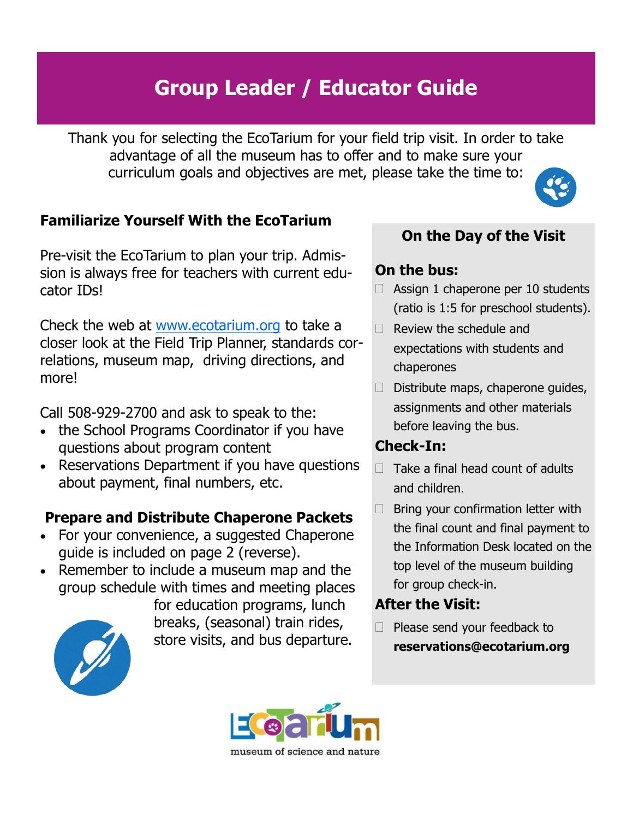# Group Leader / Educator Guide

Thank you for selecting the EcoTarium for your field trip visit. In order to take advantage of all the museum has to offer and to make sure your curriculum goals and objectives are met, please take the time to:

## Familiarize Yourself With the EcoTarium

Pre-visit the EcoTarium to plan your trip. Admission is always free for teachers with current educator IDs!

Check the web at www.ecotarium.org to take a closer look at the Field Trip Planner, standards correlations, museum map, driving directions, and more!

Call 508-929-2700 and ask to speak to the:

- the School Programs Coordinator if you have questions about program content
- Reservations Department if you have questions about payment, final numbers, etc.

## Prepare and Distribute Chaperone Packets

- For your convenience, a suggested Chaperone guide is included on page 2 (reverse).
- Remember to include a museum map and the group schedule with times and meeting places

for education programs, lunch breaks, (seasonal) train rides, store visits, and bus departure.

## On the Day of the Visit

## On the bus:

- $\Box$  Assign 1 chaperone per 10 students (ratio is 1:5 for preschool students).
- $\Box$  Review the schedule and expectations with students and chaperones
- $\Box$  Distribute maps, chaperone quides, assignments and other materials before leaving the bus.

### Check-In:

- $\Box$  Take a final head count of adults and children.
- $\Box$  Bring your confirmation letter with the final count and final payment to the Information Desk located on the top level of the museum building for group check-in.

## After the Visit:

 $\Box$  Please send your feedback to reservations@ecotarium.org